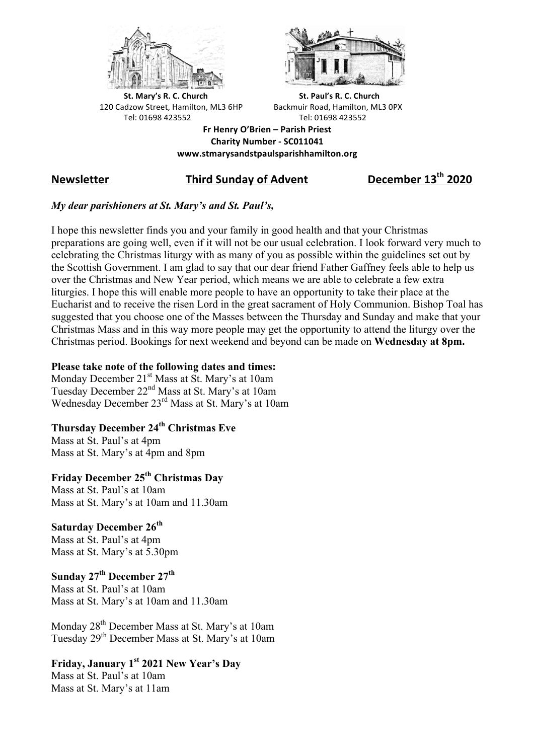



**St.** Mary's R. C. Church St. Paul's R. C. Church 120 Cadzow Street, Hamilton, ML3 6HP Backmuir Road, Hamilton, ML3 0PX Tel: 01698 423552 Tel: 01698 423552

**Fr Henry O'Brien – Parish Priest Charity Number - SC011041 www.stmarysandstpaulsparishhamilton.org**

# **Newsletter Third Sunday of Advent December 13th 2020**

### *My dear parishioners at St. Mary's and St. Paul's,*

I hope this newsletter finds you and your family in good health and that your Christmas preparations are going well, even if it will not be our usual celebration. I look forward very much to celebrating the Christmas liturgy with as many of you as possible within the guidelines set out by the Scottish Government. I am glad to say that our dear friend Father Gaffney feels able to help us over the Christmas and New Year period, which means we are able to celebrate a few extra liturgies. I hope this will enable more people to have an opportunity to take their place at the Eucharist and to receive the risen Lord in the great sacrament of Holy Communion. Bishop Toal has suggested that you choose one of the Masses between the Thursday and Sunday and make that your Christmas Mass and in this way more people may get the opportunity to attend the liturgy over the Christmas period. Bookings for next weekend and beyond can be made on **Wednesday at 8pm.**

#### **Please take note of the following dates and times:**

Monday December 21<sup>st</sup> Mass at St. Mary's at 10am Tuesday December 22<sup>nd</sup> Mass at St. Mary's at 10am Wednesday December 23<sup>rd</sup> Mass at St. Mary's at 10am

## **Thursday December 24th Christmas Eve**

Mass at St. Paul's at 4pm Mass at St. Mary's at 4pm and 8pm

## **Friday December 25th Christmas Day**

Mass at St. Paul's at 10am Mass at St. Mary's at 10am and 11.30am

### **Saturday December 26th**

Mass at St. Paul's at 4pm Mass at St. Mary's at 5.30pm

# **Sunday 27th December 27th**

Mass at St. Paul's at 10am Mass at St. Mary's at 10am and 11.30am

Monday 28<sup>th</sup> December Mass at St. Mary's at 10am Tuesday 29th December Mass at St. Mary's at 10am

## **Friday, January 1st 2021 New Year's Day**

Mass at St. Paul's at 10am Mass at St. Mary's at 11am